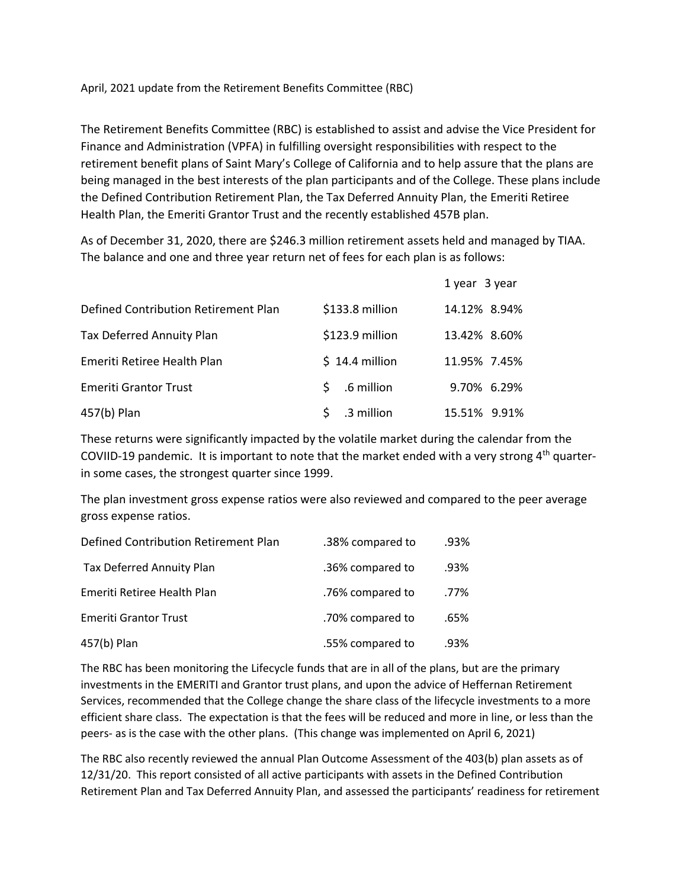April, 2021 update from the Retirement Benefits Committee (RBC)

The Retirement Benefits Committee (RBC) is established to assist and advise the Vice President for Finance and Administration (VPFA) in fulfilling oversight responsibilities with respect to the retirement benefit plans of Saint Mary's College of California and to help assure that the plans are being managed in the best interests of the plan participants and of the College. These plans include the Defined Contribution Retirement Plan, the Tax Deferred Annuity Plan, the Emeriti Retiree Health Plan, the Emeriti Grantor Trust and the recently established 457B plan.

As of December 31, 2020, there are \$246.3 million retirement assets held and managed by TIAA. The balance and one and three year return net of fees for each plan is as follows:

|                                      |                  | 1 year 3 year |
|--------------------------------------|------------------|---------------|
| Defined Contribution Retirement Plan | \$133.8 million  | 14.12% 8.94%  |
| <b>Tax Deferred Annuity Plan</b>     | \$123.9 million  | 13.42% 8.60%  |
| Emeriti Retiree Health Plan          | $$14.4$ million  | 11.95% 7.45%  |
| <b>Emeriti Grantor Trust</b>         | S.<br>.6 million | 9.70% 6.29%   |
| 457(b) Plan                          | .3 million       | 15.51% 9.91%  |

These returns were significantly impacted by the volatile market during the calendar from the COVIID-19 pandemic. It is important to note that the market ended with a very strong 4<sup>th</sup> quarterin some cases, the strongest quarter since 1999.

The plan investment gross expense ratios were also reviewed and compared to the peer average gross expense ratios.

| Defined Contribution Retirement Plan | .38% compared to | .93% |
|--------------------------------------|------------------|------|
| Tax Deferred Annuity Plan            | .36% compared to | .93% |
| Emeriti Retiree Health Plan          | .76% compared to | .77% |
| <b>Emeriti Grantor Trust</b>         | .70% compared to | .65% |
| 457(b) Plan                          | .55% compared to | .93% |

The RBC has been monitoring the Lifecycle funds that are in all of the plans, but are the primary investments in the EMERITI and Grantor trust plans, and upon the advice of Heffernan Retirement Services, recommended that the College change the share class of the lifecycle investments to a more efficient share class. The expectation is that the fees will be reduced and more in line, or less than the peers- as is the case with the other plans. (This change was implemented on April 6, 2021)

The RBC also recently reviewed the annual Plan Outcome Assessment of the 403(b) plan assets as of 12/31/20. This report consisted of all active participants with assets in the Defined Contribution Retirement Plan and Tax Deferred Annuity Plan, and assessed the participants' readiness for retirement